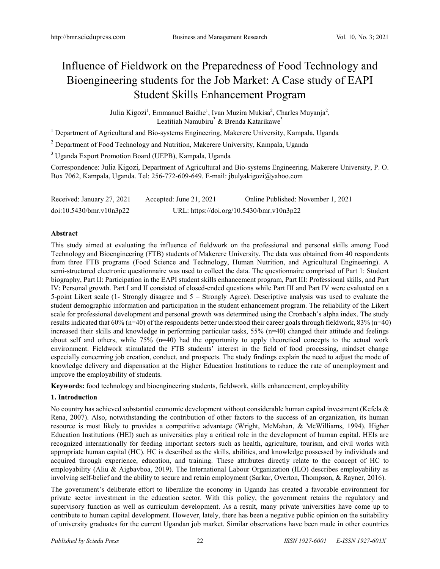# Influence of Fieldwork on the Preparedness of Food Technology and Bioengineering students for the Job Market: A Case study of EAPI Student Skills Enhancement Program

Julia Kigozi<sup>1</sup>, Emmanuel Baidhe<sup>1</sup>, Ivan Muzira Mukisa<sup>2</sup>, Charles Muyanja<sup>2</sup>, Leatitiah Namubiru<sup>3</sup> & Brenda Katarikawe<sup>3</sup>

<sup>1</sup> Department of Agricultural and Bio-systems Engineering, Makerere University, Kampala, Uganda

<sup>2</sup> Department of Food Technology and Nutrition, Makerere University, Kampala, Uganda

<sup>3</sup> Uganda Export Promotion Board (UEPB), Kampala, Uganda

Correspondence: Julia Kigozi, Department of Agricultural and Bio-systems Engineering, Makerere University, P. O. Box 7062, Kampala, Uganda. Tel: 256-772-609-649. E-mail: jbulyakigozi@yahoo.com

Received: January 27, 2021 Accepted: June 21, 2021 Online Published: November 1, 2021 doi:10.5430/bmr.v10n3p22 URL: https://doi.org/10.5430/bmr.v10n3p22

## **Abstract**

This study aimed at evaluating the influence of fieldwork on the professional and personal skills among Food Technology and Bioengineering (FTB) students of Makerere University. The data was obtained from 40 respondents from three FTB programs (Food Science and Technology, Human Nutrition, and Agricultural Engineering). A semi-structured electronic questionnaire was used to collect the data. The questionnaire comprised of Part 1: Student biography, Part II: Participation in the EAPI student skills enhancement program, Part III: Professional skills, and Part IV: Personal growth. Part I and II consisted of closed-ended questions while Part III and Part IV were evaluated on a 5-point Likert scale (1- Strongly disagree and 5 – Strongly Agree). Descriptive analysis was used to evaluate the student demographic information and participation in the student enhancement program. The reliability of the Likert scale for professional development and personal growth was determined using the Cronbach's alpha index. The study results indicated that 60% (n=40) of the respondents better understood their career goals through fieldwork, 83% (n=40) increased their skills and knowledge in performing particular tasks, 55% (n=40) changed their attitude and feelings about self and others, while 75% (n=40) had the opportunity to apply theoretical concepts to the actual work environment. Fieldwork stimulated the FTB students' interest in the field of food processing, mindset change especially concerning job creation, conduct, and prospects. The study findings explain the need to adjust the mode of knowledge delivery and dispensation at the Higher Education Institutions to reduce the rate of unemployment and improve the employability of students.

**Keywords:** food technology and bioengineering students, fieldwork, skills enhancement, employability

## **1. Introduction**

No country has achieved substantial economic development without considerable human capital investment (Kefela & Rena, 2007). Also, notwithstanding the contribution of other factors to the success of an organization, its human resource is most likely to provides a competitive advantage (Wright, McMahan, & McWilliams, 1994). Higher Education Institutions (HEI) such as universities play a critical role in the development of human capital. HEIs are recognized internationally for feeding important sectors such as health, agriculture, tourism, and civil works with appropriate human capital (HC). HC is described as the skills, abilities, and knowledge possessed by individuals and acquired through experience, education, and training. These attributes directly relate to the concept of HC to employability (Aliu & Aigbavboa, 2019). The International Labour Organization (ILO) describes employability as involving self-belief and the ability to secure and retain employment (Sarkar, Overton, Thompson, & Rayner, 2016).

The government's deliberate effort to liberalize the economy in Uganda has created a favorable environment for private sector investment in the education sector. With this policy, the government retains the regulatory and supervisory function as well as curriculum development. As a result, many private universities have come up to contribute to human capital development. However, lately, there has been a negative public opinion on the suitability of university graduates for the current Ugandan job market. Similar observations have been made in other countries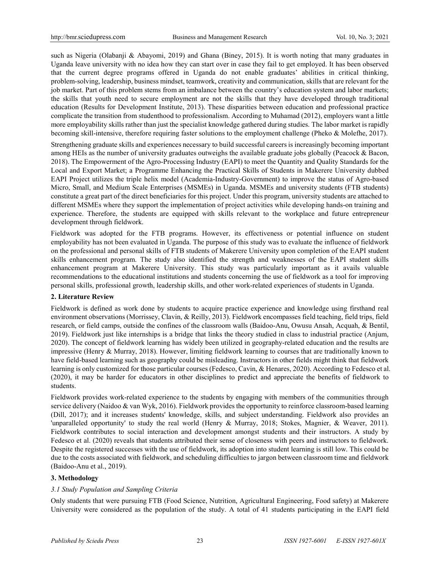such as Nigeria (Olabanji & Abayomi, 2019) and Ghana (Biney, 2015). It is worth noting that many graduates in Uganda leave university with no idea how they can start over in case they fail to get employed. It has been observed that the current degree programs offered in Uganda do not enable graduates' abilities in critical thinking, problem-solving, leadership, business mindset, teamwork, creativity and communication, skills that are relevant for the job market. Part of this problem stems from an imbalance between the country's education system and labor markets; the skills that youth need to secure employment are not the skills that they have developed through traditional education (Results for Development Institute, 2013). These disparities between education and professional practice complicate the transition from studenthood to professionalism. According to Muhamad (2012), employers want a little more employability skills rather than just the specialist knowledge gathered during studies. The labor market is rapidly becoming skill-intensive, therefore requiring faster solutions to the employment challenge (Pheko & Molefhe, 2017).

Strengthening graduate skills and experiences necessary to build successful careers is increasingly becoming important among HEIs as the number of university graduates outweighs the available graduate jobs globally (Peacock & Bacon, 2018). The Empowerment of the Agro-Processing Industry (EAPI) to meet the Quantity and Quality Standards for the Local and Export Market; a Programme Enhancing the Practical Skills of Students in Makerere University dubbed EAPI Project utilizes the triple helix model (Academia-Industry-Government) to improve the status of Agro-based Micro, Small, and Medium Scale Enterprises (MSMEs) in Uganda. MSMEs and university students (FTB students) constitute a great part of the direct beneficiaries for this project. Under this program, university students are attached to different MSMEs where they support the implementation of project activities while developing hands-on training and experience. Therefore, the students are equipped with skills relevant to the workplace and future entrepreneur development through fieldwork.

Fieldwork was adopted for the FTB programs. However, its effectiveness or potential influence on student employability has not been evaluated in Uganda. The purpose of this study was to evaluate the influence of fieldwork on the professional and personal skills of FTB students of Makerere University upon completion of the EAPI student skills enhancement program. The study also identified the strength and weaknesses of the EAPI student skills enhancement program at Makerere University. This study was particularly important as it avails valuable recommendations to the educational institutions and students concerning the use of fieldwork as a tool for improving personal skills, professional growth, leadership skills, and other work-related experiences of students in Uganda.

# **2. Literature Review**

Fieldwork is defined as work done by students to acquire practice experience and knowledge using firsthand real environment observations (Morrissey, Clavin, & Reilly, 2013). Fieldwork encompasses field teaching, field trips, field research, or field camps, outside the confines of the classroom walls (Baidoo-Anu, Owusu Ansah, Acquah, & Bentil, 2019). Fieldwork just like internships is a bridge that links the theory studied in class to industrial practice (Anjum, 2020). The concept of fieldwork learning has widely been utilized in geography-related education and the results are impressive (Henry & Murray, 2018). However, limiting fieldwork learning to courses that are traditionally known to have field-based learning such as geography could be misleading. Instructors in other fields might think that fieldwork learning is only customized for those particular courses (Fedesco, Cavin, & Henares, 2020). According to Fedesco et al. (2020), it may be harder for educators in other disciplines to predict and appreciate the benefits of fieldwork to students.

Fieldwork provides work-related experience to the students by engaging with members of the communities through service delivery (Naidoo & van Wyk, 2016). Fieldwork provides the opportunity to reinforce classroom-based learning (Dill, 2017); and it increases students' knowledge, skills, and subject understanding. Fieldwork also provides an 'unparalleled opportunity' to study the real world (Henry & Murray, 2018; Stokes, Magnier, & Weaver, 2011). Fieldwork contributes to social interaction and development amongst students and their instructors. A study by Fedesco et al. (2020) reveals that students attributed their sense of closeness with peers and instructors to fieldwork. Despite the registered successes with the use of fieldwork, its adoption into student learning is still low. This could be due to the costs associated with fieldwork, and scheduling difficulties to jargon between classroom time and fieldwork (Baidoo-Anu et al., 2019).

# **3. Methodology**

# *3.1 Study Population and Sampling Criteria*

Only students that were pursuing FTB (Food Science, Nutrition, Agricultural Engineering, Food safety) at Makerere University were considered as the population of the study. A total of 41 students participating in the EAPI field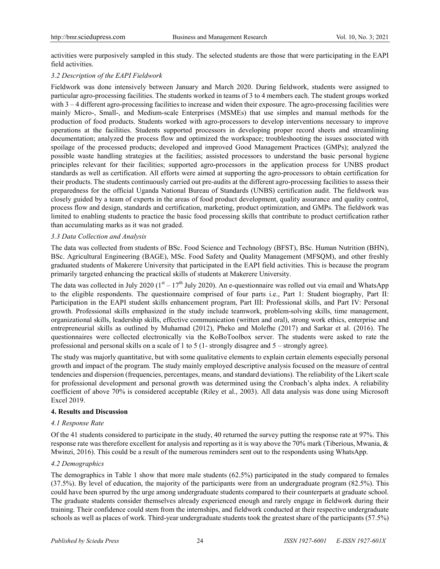activities were purposively sampled in this study. The selected students are those that were participating in the EAPI field activities.

## *3.2 Description of the EAPI Fieldwork*

Fieldwork was done intensively between January and March 2020. During fieldwork, students were assigned to particular agro-processing facilities. The students worked in teams of 3 to 4 members each. The student groups worked with 3 – 4 different agro-processing facilities to increase and widen their exposure. The agro-processing facilities were mainly Micro-, Small-, and Medium-scale Enterprises (MSMEs) that use simples and manual methods for the production of food products. Students worked with agro-processors to develop interventions necessary to improve operations at the facilities. Students supported processors in developing proper record sheets and streamlining documentation; analyzed the process flow and optimized the workspace; troubleshooting the issues associated with spoilage of the processed products; developed and improved Good Management Practices (GMPs); analyzed the possible waste handling strategies at the facilities; assisted processors to understand the basic personal hygiene principles relevant for their facilities; supported agro-processors in the application process for UNBS product standards as well as certification. All efforts were aimed at supporting the agro-processors to obtain certification for their products. The students continuously carried out pre-audits at the different agro-processing facilities to assess their preparedness for the official Uganda National Bureau of Standards (UNBS) certification audit. The fieldwork was closely guided by a team of experts in the areas of food product development, quality assurance and quality control, process flow and design, standards and certification, marketing, product optimization, and GMPs. The fieldwork was limited to enabling students to practice the basic food processing skills that contribute to product certification rather than accumulating marks as it was not graded.

## *3.3 Data Collection and Analysis*

The data was collected from students of BSc. Food Science and Technology (BFST), BSc. Human Nutrition (BHN), BSc. Agricultural Engineering (BAGE), MSc. Food Safety and Quality Management (MFSQM), and other freshly graduated students of Makerere University that participated in the EAPI field activities. This is because the program primarily targeted enhancing the practical skills of students at Makerere University.

The data was collected in July 2020 ( $1<sup>st</sup> - 17<sup>th</sup>$  July 2020). An e-questionnaire was rolled out via email and WhatsApp to the eligible respondents. The questionnaire comprised of four parts i.e., Part 1: Student biography, Part II: Participation in the EAPI student skills enhancement program, Part III: Professional skills, and Part IV: Personal growth. Professional skills emphasized in the study include teamwork, problem-solving skills, time management, organizational skills, leadership skills, effective communication (written and oral), strong work ethics, enterprise and entrepreneurial skills as outlined by Muhamad (2012), Pheko and Molefhe (2017) and Sarkar et al. (2016). The questionnaires were collected electronically via the KoBoToolbox server. The students were asked to rate the professional and personal skills on a scale of 1 to 5 (1- strongly disagree and 5 – strongly agree).

The study was majorly quantitative, but with some qualitative elements to explain certain elements especially personal growth and impact of the program. The study mainly employed descriptive analysis focused on the measure of central tendencies and dispersion (frequencies, percentages, means, and standard deviations). The reliability of the Likert scale for professional development and personal growth was determined using the Cronbach's alpha index. A reliability coefficient of above 70% is considered acceptable (Riley et al., 2003). All data analysis was done using Microsoft Excel 2019.

## **4. Results and Discussion**

## *4.1 Response Rate*

Of the 41 students considered to participate in the study, 40 returned the survey putting the response rate at 97%. This response rate was therefore excellent for analysis and reporting as it is way above the 70% mark (Tiberious, Mwania, & Mwinzi, 2016). This could be a result of the numerous reminders sent out to the respondents using WhatsApp.

# *4.2 Demographics*

The demographics in Table 1 show that more male students (62.5%) participated in the study compared to females (37.5%). By level of education, the majority of the participants were from an undergraduate program (82.5%). This could have been spurred by the urge among undergraduate students compared to their counterparts at graduate school. The graduate students consider themselves already experienced enough and rarely engage in fieldwork during their training. Their confidence could stem from the internships, and fieldwork conducted at their respective undergraduate schools as well as places of work. Third-year undergraduate students took the greatest share of the participants (57.5%)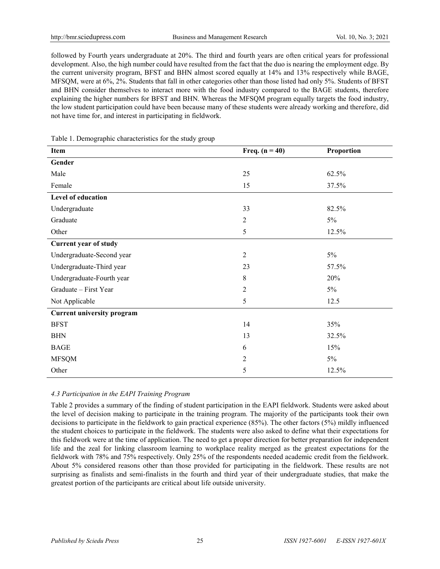followed by Fourth years undergraduate at 20%. The third and fourth years are often critical years for professional development. Also, the high number could have resulted from the fact that the duo is nearing the employment edge. By the current university program, BFST and BHN almost scored equally at 14% and 13% respectively while BAGE, MFSQM, were at 6%, 2%. Students that fall in other categories other than those listed had only 5%. Students of BFST and BHN consider themselves to interact more with the food industry compared to the BAGE students, therefore explaining the higher numbers for BFST and BHN. Whereas the MFSQM program equally targets the food industry, the low student participation could have been because many of these students were already working and therefore, did not have time for, and interest in participating in fieldwork.

| Item                              | Freq. $(n = 40)$ | Proportion |
|-----------------------------------|------------------|------------|
| Gender                            |                  |            |
| Male                              | 25               | 62.5%      |
| Female                            | 15               | 37.5%      |
| Level of education                |                  |            |
| Undergraduate                     | 33               | 82.5%      |
| Graduate                          | $\overline{2}$   | 5%         |
| Other                             | 5                | 12.5%      |
| Current year of study             |                  |            |
| Undergraduate-Second year         | $\overline{2}$   | $5\%$      |
| Undergraduate-Third year          | 23               | 57.5%      |
| Undergraduate-Fourth year         | 8                | 20%        |
| Graduate - First Year             | $\overline{2}$   | 5%         |
| Not Applicable                    | 5                | 12.5       |
| <b>Current university program</b> |                  |            |
| <b>BFST</b>                       | 14               | 35%        |
| <b>BHN</b>                        | 13               | 32.5%      |
| <b>BAGE</b>                       | 6                | 15%        |
| <b>MFSQM</b>                      | $\overline{2}$   | 5%         |
| Other                             | 5                | 12.5%      |

Table 1. Demographic characteristics for the study group

# *4.3 Participation in the EAPI Training Program*

Table 2 provides a summary of the finding of student participation in the EAPI fieldwork. Students were asked about the level of decision making to participate in the training program. The majority of the participants took their own decisions to participate in the fieldwork to gain practical experience (85%). The other factors (5%) mildly influenced the student choices to participate in the fieldwork. The students were also asked to define what their expectations for this fieldwork were at the time of application. The need to get a proper direction for better preparation for independent life and the zeal for linking classroom learning to workplace reality merged as the greatest expectations for the fieldwork with 78% and 75% respectively. Only 25% of the respondents needed academic credit from the fieldwork. About 5% considered reasons other than those provided for participating in the fieldwork. These results are not surprising as finalists and semi-finalists in the fourth and third year of their undergraduate studies, that make the greatest portion of the participants are critical about life outside university.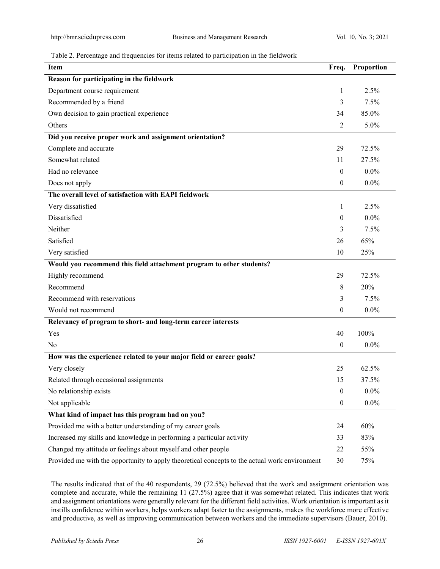## Table 2. Percentage and frequencies for items related to participation in the fieldwork

| <b>Item</b>                                                                                   | Freq.            | Proportion |
|-----------------------------------------------------------------------------------------------|------------------|------------|
| Reason for participating in the fieldwork                                                     |                  |            |
| Department course requirement                                                                 | 1                | 2.5%       |
| Recommended by a friend                                                                       | 3                | 7.5%       |
| Own decision to gain practical experience                                                     | 34               | 85.0%      |
| Others                                                                                        | $\overline{2}$   | 5.0%       |
| Did you receive proper work and assignment orientation?                                       |                  |            |
| Complete and accurate                                                                         | 29               | 72.5%      |
| Somewhat related                                                                              | 11               | 27.5%      |
| Had no relevance                                                                              | $\mathbf{0}$     | $0.0\%$    |
| Does not apply                                                                                | $\boldsymbol{0}$ | $0.0\%$    |
| The overall level of satisfaction with EAPI fieldwork                                         |                  |            |
| Very dissatisfied                                                                             | 1                | 2.5%       |
| Dissatisfied                                                                                  | $\mathbf{0}$     | $0.0\%$    |
| Neither                                                                                       | 3                | 7.5%       |
| Satisfied                                                                                     | 26               | 65%        |
| Very satisfied                                                                                | 10               | 25%        |
| Would you recommend this field attachment program to other students?                          |                  |            |
| Highly recommend                                                                              | 29               | 72.5%      |
| Recommend                                                                                     | 8                | 20%        |
| Recommend with reservations                                                                   | 3                | 7.5%       |
| Would not recommend                                                                           | $\boldsymbol{0}$ | $0.0\%$    |
| Relevancy of program to short- and long-term career interests                                 |                  |            |
| Yes                                                                                           | 40               | 100%       |
| No                                                                                            | $\boldsymbol{0}$ | $0.0\%$    |
| How was the experience related to your major field or career goals?                           |                  |            |
| Very closely                                                                                  | 25               | 62.5%      |
| Related through occasional assignments                                                        | 15               | 37.5%      |
| No relationship exists                                                                        | $\boldsymbol{0}$ | $0.0\%$    |
| Not applicable                                                                                | $\boldsymbol{0}$ | $0.0\%$    |
| What kind of impact has this program had on you?                                              |                  |            |
| Provided me with a better understanding of my career goals                                    | 24               | 60%        |
| Increased my skills and knowledge in performing a particular activity                         | 33               | 83%        |
| Changed my attitude or feelings about myself and other people                                 | 22               | 55%        |
| Provided me with the opportunity to apply theoretical concepts to the actual work environment | 30               | 75%        |

The results indicated that of the 40 respondents, 29 (72.5%) believed that the work and assignment orientation was complete and accurate, while the remaining 11 (27.5%) agree that it was somewhat related. This indicates that work and assignment orientations were generally relevant for the different field activities. Work orientation is important as it instills confidence within workers, helps workers adapt faster to the assignments, makes the workforce more effective and productive, as well as improving communication between workers and the immediate supervisors (Bauer, 2010).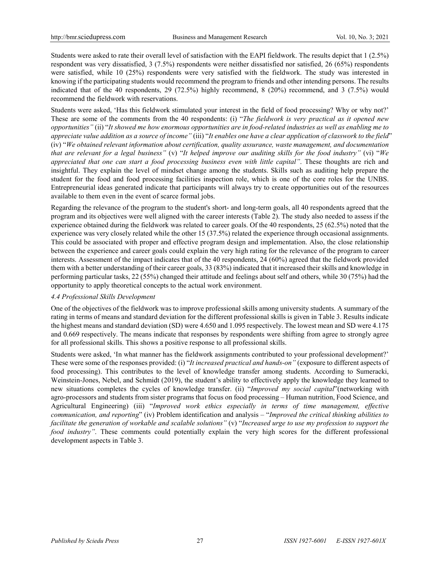Students were asked to rate their overall level of satisfaction with the EAPI fieldwork. The results depict that 1 (2.5%) respondent was very dissatisfied, 3 (7.5%) respondents were neither dissatisfied nor satisfied, 26 (65%) respondents were satisfied, while 10 (25%) respondents were very satisfied with the fieldwork. The study was interested in knowing if the participating students would recommend the program to friends and other intending persons. The results indicated that of the 40 respondents, 29 (72.5%) highly recommend, 8 (20%) recommend, and 3 (7.5%) would recommend the fieldwork with reservations.

Students were asked, 'Has this fieldwork stimulated your interest in the field of food processing? Why or why not?' These are some of the comments from the 40 respondents: (i) "*The fieldwork is very practical as it opened new opportunities"* (ii) "*It showed me how enormous opportunities are in food-related industries as well as enabling me to appreciate value addition as a source of income"* (iii) "*It enables one have a clear application of classwork to the field*" (iv) "*We obtained relevant information about certification, quality assurance, waste management, and documentation that are relevant for a legal business"* (v) "*It helped improve our auditing skills for the food industry"* (vi) "*We appreciated that one can start a food processing business even with little capital"*. These thoughts are rich and insightful. They explain the level of mindset change among the students. Skills such as auditing help prepare the student for the food and food processing facilities inspection role, which is one of the core roles for the UNBS. Entrepreneurial ideas generated indicate that participants will always try to create opportunities out of the resources available to them even in the event of scarce formal jobs.

Regarding the relevance of the program to the student's short- and long-term goals, all 40 respondents agreed that the program and its objectives were well aligned with the career interests (Table 2). The study also needed to assess if the experience obtained during the fieldwork was related to career goals. Of the 40 respondents, 25 (62.5%) noted that the experience was very closely related while the other 15 (37.5%) related the experience through occasional assignments. This could be associated with proper and effective program design and implementation. Also, the close relationship between the experience and career goals could explain the very high rating for the relevance of the program to career interests. Assessment of the impact indicates that of the 40 respondents, 24 (60%) agreed that the fieldwork provided them with a better understanding of their career goals, 33 (83%) indicated that it increased their skills and knowledge in performing particular tasks, 22 (55%) changed their attitude and feelings about self and others, while 30 (75%) had the opportunity to apply theoretical concepts to the actual work environment.

## *4.4 Professional Skills Development*

One of the objectives of the fieldwork was to improve professional skills among university students. A summary of the rating in terms of means and standard deviation for the different professional skills is given in Table 3. Results indicate the highest means and standard deviation (SD) were 4.650 and 1.095 respectively. The lowest mean and SD were 4.175 and 0.669 respectively. The means indicate that responses by respondents were shifting from agree to strongly agree for all professional skills. This shows a positive response to all professional skills.

Students were asked, 'In what manner has the fieldwork assignments contributed to your professional development?' These were some of the responses provided: (i) "*It increased practical and hands-on"* (exposure to different aspects of food processing). This contributes to the level of knowledge transfer among students. According to Sumeracki, Weinstein-Jones, Nebel, and Schmidt (2019), the student's ability to effectively apply the knowledge they learned to new situations completes the cycles of knowledge transfer. (ii) "*Improved my social capital*"(networking with agro-processors and students from sister programs that focus on food processing – Human nutrition, Food Science, and Agricultural Engineering) (iii) "*Improved work ethics especially in terms of time management, effective communication, and reporting*" (iv) Problem identification and analysis – "*Improved the critical thinking abilities to facilitate the generation of workable and scalable solutions"* (v) "*Increased urge to use my profession to support the food industry"*. These comments could potentially explain the very high scores for the different professional development aspects in Table 3.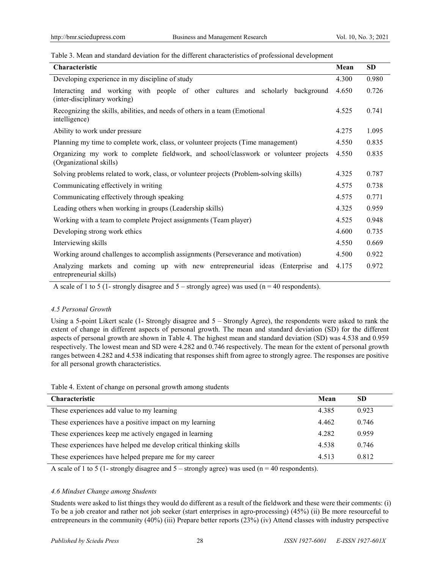Table 3. Mean and standard deviation for the different characteristics of professional development

| <b>Characteristic</b>                                                                                           | Mean  | <b>SD</b> |
|-----------------------------------------------------------------------------------------------------------------|-------|-----------|
| Developing experience in my discipline of study                                                                 | 4.300 | 0.980     |
| Interacting and working with people of other cultures and scholarly background<br>(inter-disciplinary working)  | 4.650 | 0.726     |
| Recognizing the skills, abilities, and needs of others in a team (Emotional<br>intelligence)                    | 4.525 | 0.741     |
| Ability to work under pressure                                                                                  | 4.275 | 1.095     |
| Planning my time to complete work, class, or volunteer projects (Time management)                               | 4.550 | 0.835     |
| Organizing my work to complete fieldwork, and school/classwork or volunteer projects<br>(Organizational skills) | 4.550 | 0.835     |
| Solving problems related to work, class, or volunteer projects (Problem-solving skills)                         | 4.325 | 0.787     |
| Communicating effectively in writing                                                                            | 4.575 | 0.738     |
| Communicating effectively through speaking                                                                      | 4.575 | 0.771     |
| Leading others when working in groups (Leadership skills)                                                       | 4.325 | 0.959     |
| Working with a team to complete Project assignments (Team player)                                               | 4.525 | 0.948     |
| Developing strong work ethics                                                                                   | 4.600 | 0.735     |
| Interviewing skills                                                                                             | 4.550 | 0.669     |
| Working around challenges to accomplish assignments (Perseverance and motivation)                               | 4.500 | 0.922     |
| Analyzing markets and coming up with new entrepreneurial ideas (Enterprise and<br>entrepreneurial skills)       | 4.175 | 0.972     |

A scale of 1 to 5 (1- strongly disagree and  $5$  – strongly agree) was used (n = 40 respondents).

## *4.5 Personal Growth*

Using a 5-point Likert scale (1- Strongly disagree and 5 – Strongly Agree), the respondents were asked to rank the extent of change in different aspects of personal growth. The mean and standard deviation (SD) for the different aspects of personal growth are shown in Table 4. The highest mean and standard deviation (SD) was 4.538 and 0.959 respectively. The lowest mean and SD were 4.282 and 0.746 respectively. The mean for the extent of personal growth ranges between 4.282 and 4.538 indicating that responses shift from agree to strongly agree. The responses are positive for all personal growth characteristics.

Table 4. Extent of change on personal growth among students

| <b>Characteristic</b>                                             | Mean  | SD    |
|-------------------------------------------------------------------|-------|-------|
| These experiences add value to my learning                        | 4.385 | 0.923 |
| These experiences have a positive impact on my learning           | 4.462 | 0.746 |
| These experiences keep me actively engaged in learning            | 4.282 | 0.959 |
| These experiences have helped me develop critical thinking skills | 4.538 | 0.746 |
| These experiences have helped prepare me for my career            | 4.513 | 0.812 |

A scale of 1 to 5 (1- strongly disagree and  $5$  – strongly agree) was used (n = 40 respondents).

## *4.6 Mindset Change among Students*

Students were asked to list things they would do different as a result of the fieldwork and these were their comments: (i) To be a job creator and rather not job seeker (start enterprises in agro-processing) (45%) (ii) Be more resourceful to entrepreneurs in the community (40%) (iii) Prepare better reports (23%) (iv) Attend classes with industry perspective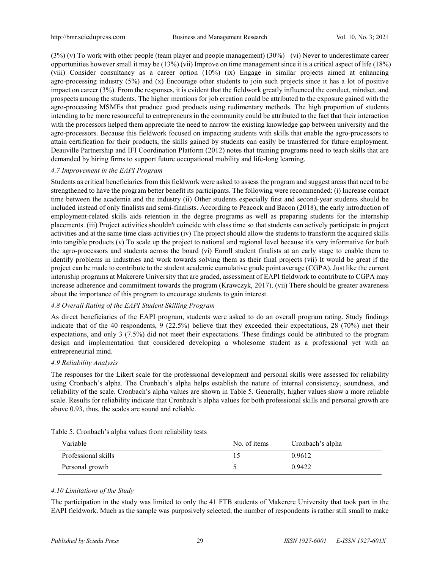(3%) (v) To work with other people (team player and people management) (30%) (vi) Never to underestimate career opportunities however small it may be (13%) (vii) Improve on time management since it is a critical aspect of life (18%) (viii) Consider consultancy as a career option (10%) (ix) Engage in similar projects aimed at enhancing agro-processing industry  $(5\%)$  and  $(x)$  Encourage other students to join such projects since it has a lot of positive impact on career (3%). From the responses, it is evident that the fieldwork greatly influenced the conduct, mindset, and prospects among the students. The higher mentions for job creation could be attributed to the exposure gained with the agro-processing MSMEs that produce good products using rudimentary methods. The high proportion of students intending to be more resourceful to entrepreneurs in the community could be attributed to the fact that their interaction with the processors helped them appreciate the need to narrow the existing knowledge gap between university and the agro-processors. Because this fieldwork focused on impacting students with skills that enable the agro-processors to attain certification for their products, the skills gained by students can easily be transferred for future employment. Deauville Partnership and IFI Coordination Platform (2012) notes that training programs need to teach skills that are demanded by hiring firms to support future occupational mobility and life-long learning.

## *4.7 Improvement in the EAPI Program*

Students as critical beneficiaries from this fieldwork were asked to assess the program and suggest areas that need to be strengthened to have the program better benefit its participants. The following were recommended: (i) Increase contact time between the academia and the industry (ii) Other students especially first and second-year students should be included instead of only finalists and semi-finalists. According to Peacock and Bacon (2018), the early introduction of employment-related skills aids retention in the degree programs as well as preparing students for the internship placements. (iii) Project activities shouldn't coincide with class time so that students can actively participate in project activities and at the same time class activities (iv) The project should allow the students to transform the acquired skills into tangible products (v) To scale up the project to national and regional level because it's very informative for both the agro-processors and students across the board (vi) Enroll student finalists at an early stage to enable them to identify problems in industries and work towards solving them as their final projects (vii) It would be great if the project can be made to contribute to the student academic cumulative grade point average (CGPA). Just like the current internship programs at Makerere University that are graded, assessment of EAPI fieldwork to contribute to CGPA may increase adherence and commitment towards the program (Krawczyk, 2017). (vii) There should be greater awareness about the importance of this program to encourage students to gain interest.

## *4.8 Overall Rating of the EAPI Student Skilling Program*

As direct beneficiaries of the EAPI program, students were asked to do an overall program rating. Study findings indicate that of the 40 respondents, 9 (22.5%) believe that they exceeded their expectations, 28 (70%) met their expectations, and only 3 (7.5%) did not meet their expectations. These findings could be attributed to the program design and implementation that considered developing a wholesome student as a professional yet with an entrepreneurial mind.

## *4.9 Reliability Analysis*

The responses for the Likert scale for the professional development and personal skills were assessed for reliability using Cronbach's alpha. The Cronbach's alpha helps establish the nature of internal consistency, soundness, and reliability of the scale. Cronbach's alpha values are shown in Table 5. Generally, higher values show a more reliable scale. Results for reliability indicate that Cronbach's alpha values for both professional skills and personal growth are above 0.93, thus, the scales are sound and reliable.

| Variable            | No. of items | Cronbach's alpha |
|---------------------|--------------|------------------|
| Professional skills |              | 0.9612           |
| Personal growth     |              | 0.9422           |

Table 5. Cronbach's alpha values from reliability tests

# *4.10 Limitations of the Study*

The participation in the study was limited to only the 41 FTB students of Makerere University that took part in the EAPI fieldwork. Much as the sample was purposively selected, the number of respondents is rather still small to make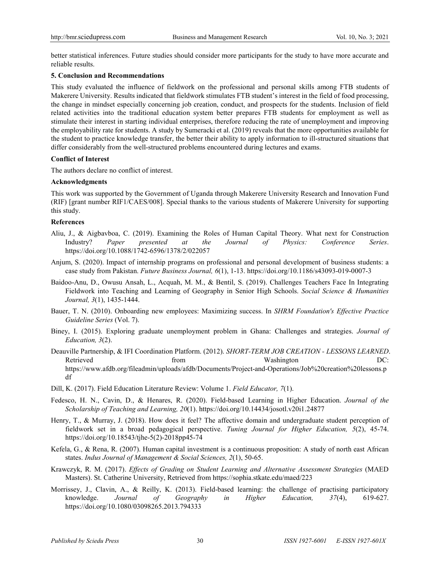better statistical inferences. Future studies should consider more participants for the study to have more accurate and reliable results.

#### **5. Conclusion and Recommendations**

This study evaluated the influence of fieldwork on the professional and personal skills among FTB students of Makerere University. Results indicated that fieldwork stimulates FTB student's interest in the field of food processing, the change in mindset especially concerning job creation, conduct, and prospects for the students. Inclusion of field related activities into the traditional education system better prepares FTB students for employment as well as stimulate their interest in starting individual enterprises, therefore reducing the rate of unemployment and improving the employability rate for students. A study by Sumeracki et al. (2019) reveals that the more opportunities available for the student to practice knowledge transfer, the better their ability to apply information to ill-structured situations that differ considerably from the well-structured problems encountered during lectures and exams.

#### **Conflict of Interest**

The authors declare no conflict of interest.

#### **Acknowledgments**

This work was supported by the Government of Uganda through Makerere University Research and Innovation Fund (RIF) [grant number RIF1/CAES/008]. Special thanks to the various students of Makerere University for supporting this study.

#### **References**

- Aliu, J., & Aigbavboa, C. (2019). Examining the Roles of Human Capital Theory. What next for Construction Industry? *Paper presented at the Journal of Physics: Conference Series*. https://doi.org/10.1088/1742-6596/1378/2/022057
- Anjum, S. (2020). Impact of internship programs on professional and personal development of business students: a case study from Pakistan. *Future Business Journal, 6*(1), 1-13. https://doi.org/10.1186/s43093-019-0007-3
- Baidoo-Anu, D., Owusu Ansah, L., Acquah, M. M., & Bentil, S. (2019). Challenges Teachers Face In Integrating Fieldwork into Teaching and Learning of Geography in Senior High Schools. *Social Science & Humanities Journal, 3*(1), 1435-1444.
- Bauer, T. N. (2010). Onboarding new employees: Maximizing success. In *SHRM Foundation's Effective Practice Guideline Series* (Vol. 7).
- Biney, I. (2015). Exploring graduate unemployment problem in Ghana: Challenges and strategies. *Journal of Education, 3*(2).
- Deauville Partnership, & IFI Coordination Platform. (2012). *SHORT-TERM JOB CREATION - LESSONS LEARNED*. Retrieved **EXECUTE:** From the Mashington DC: https://www.afdb.org/fileadmin/uploads/afdb/Documents/Project-and-Operations/Job%20creation%20lessons.p df
- Dill, K. (2017). Field Education Literature Review: Volume 1. *Field Educator, 7*(1).
- Fedesco, H. N., Cavin, D., & Henares, R. (2020). Field-based Learning in Higher Education. *Journal of the Scholarship of Teaching and Learning, 20*(1). https://doi.org/10.14434/josotl.v20i1.24877
- Henry, T., & Murray, J. (2018). How does it feel? The affective domain and undergraduate student perception of fieldwork set in a broad pedagogical perspective. *Tuning Journal for Higher Education, 5*(2), 45-74. https://doi.org/10.18543/tjhe-5(2)-2018pp45-74
- Kefela, G., & Rena, R. (2007). Human capital investment is a continuous proposition: A study of north east African states. *Indus Journal of Management & Social Sciences, 2*(1), 50-65.
- Krawczyk, R. M. (2017). *Effects of Grading on Student Learning and Alternative Assessment Strategies* (MAED Masters). St. Catherine University, Retrieved from https://sophia.stkate.edu/maed/223
- Morrissey, J., Clavin, A., & Reilly, K. (2013). Field-based learning: the challenge of practising participatory knowledge. *Journal of Geography in Higher Education, 37*(4), 619-627. https://doi.org/10.1080/03098265.2013.794333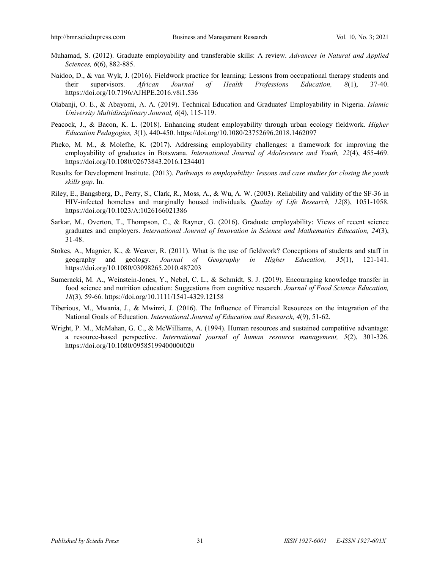- Muhamad, S. (2012). Graduate employability and transferable skills: A review. *Advances in Natural and Applied Sciences, 6*(6), 882-885.
- Naidoo, D., & van Wyk, J. (2016). Fieldwork practice for learning: Lessons from occupational therapy students and their supervisors. *African Journal of Health Professions Education, 8*(1), 37-40. https://doi.org/10.7196/AJHPE.2016.v8i1.536
- Olabanji, O. E., & Abayomi, A. A. (2019). Technical Education and Graduates' Employability in Nigeria. *Islamic University Multidisciplinary Journal, 6*(4), 115-119.
- Peacock, J., & Bacon, K. L. (2018). Enhancing student employability through urban ecology fieldwork. *Higher Education Pedagogies, 3*(1), 440-450. https://doi.org/10.1080/23752696.2018.1462097
- Pheko, M. M., & Molefhe, K. (2017). Addressing employability challenges: a framework for improving the employability of graduates in Botswana. *International Journal of Adolescence and Youth, 22*(4), 455-469. https://doi.org/10.1080/02673843.2016.1234401
- Results for Development Institute. (2013). *Pathways to employability: lessons and case studies for closing the youth skills gap*. In.
- Riley, E., Bangsberg, D., Perry, S., Clark, R., Moss, A., & Wu, A. W. (2003). Reliability and validity of the SF-36 in HIV-infected homeless and marginally housed individuals. *Quality of Life Research, 12*(8), 1051-1058. https://doi.org/10.1023/A:1026166021386
- Sarkar, M., Overton, T., Thompson, C., & Rayner, G. (2016). Graduate employability: Views of recent science graduates and employers. *International Journal of Innovation in Science and Mathematics Education, 24*(3), 31-48.
- Stokes, A., Magnier, K., & Weaver, R. (2011). What is the use of fieldwork? Conceptions of students and staff in geography and geology. *Journal of Geography in Higher Education, 35*(1), 121-141. https://doi.org/10.1080/03098265.2010.487203
- Sumeracki, M. A., Weinstein-Jones, Y., Nebel, C. L., & Schmidt, S. J. (2019). Encouraging knowledge transfer in food science and nutrition education: Suggestions from cognitive research. *Journal of Food Science Education, 18*(3), 59-66. https://doi.org/10.1111/1541-4329.12158
- Tiberious, M., Mwania, J., & Mwinzi, J. (2016). The Influence of Financial Resources on the integration of the National Goals of Education. *International Journal of Education and Research, 4*(9), 51-62.
- Wright, P. M., McMahan, G. C., & McWilliams, A. (1994). Human resources and sustained competitive advantage: a resource-based perspective. *International journal of human resource management, 5*(2), 301-326. https://doi.org/10.1080/09585199400000020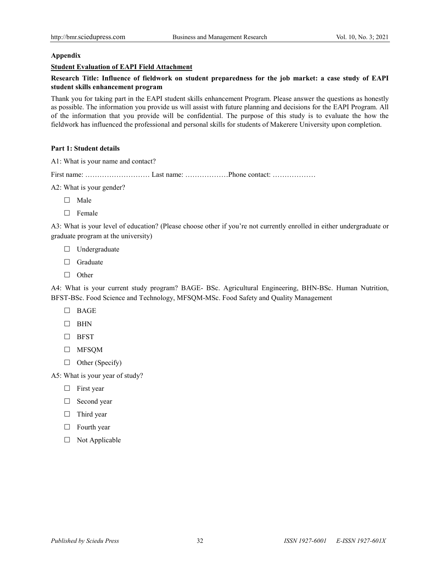#### **Appendix**

#### **Student Evaluation of EAPI Field Attachment**

## **Research Title: Influence of fieldwork on student preparedness for the job market: a case study of EAPI student skills enhancement program**

Thank you for taking part in the EAPI student skills enhancement Program. Please answer the questions as honestly as possible. The information you provide us will assist with future planning and decisions for the EAPI Program. All of the information that you provide will be confidential. The purpose of this study is to evaluate the how the fieldwork has influenced the professional and personal skills for students of Makerere University upon completion.

#### **Part 1: Student details**

A1: What is your name and contact?

First name: ……………………… Last name: ………………Phone contact: ………………

- A2: What is your gender?
	- $\Box$  Male
	- $\Box$  Female

A3: What is your level of education? (Please choose other if you're not currently enrolled in either undergraduate or graduate program at the university)

- □ Undergraduate
- $\Box$  Graduate
- $\Box$  Other

A4: What is your current study program? BAGE- BSc. Agricultural Engineering, BHN-BSc. Human Nutrition, BFST-BSc. Food Science and Technology, MFSQM-MSc. Food Safety and Quality Management

- BAGE
- $\Box$  BHN
- $\Box$  BFST
- MFSQM
- $\Box$  Other (Specify)

A5: What is your year of study?

- $\Box$  First year
- □ Second year
- $\Box$  Third year
- $\Box$  Fourth year
- $\Box$  Not Applicable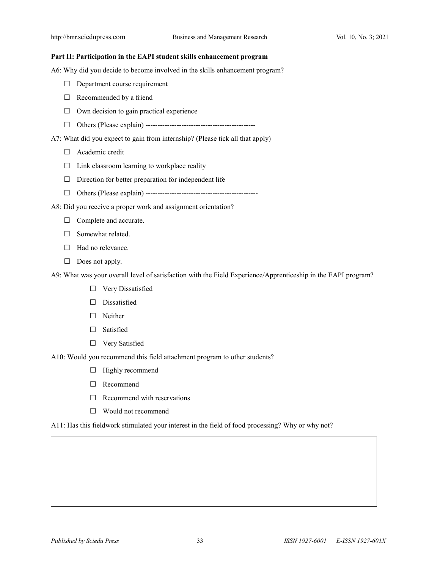#### **Part II: Participation in the EAPI student skills enhancement program**

A6: Why did you decide to become involved in the skills enhancement program?

- $\Box$  Department course requirement
- $\Box$  Recommended by a friend
- $\Box$  Own decision to gain practical experience
- Others (Please explain) ----------------------------------------------

A7: What did you expect to gain from internship? (Please tick all that apply)

- □ Academic credit
- $\Box$  Link classroom learning to workplace reality
- $\Box$  Direction for better preparation for independent life
- Others (Please explain) -----------------------------------------------
- A8: Did you receive a proper work and assignment orientation?
	- $\Box$  Complete and accurate.
	- $\Box$  Somewhat related.
	- $\Box$  Had no relevance.
	- $\Box$  Does not apply.

A9: What was your overall level of satisfaction with the Field Experience/Apprenticeship in the EAPI program?

- □ Very Dissatisfied
- $\square$  Dissatisfied
- □ Neither
- Satisfied
- □ Very Satisfied

A10: Would you recommend this field attachment program to other students?

- $\Box$  Highly recommend
- □ Recommend
- $\Box$  Recommend with reservations
- □ Would not recommend

A11: Has this fieldwork stimulated your interest in the field of food processing? Why or why not?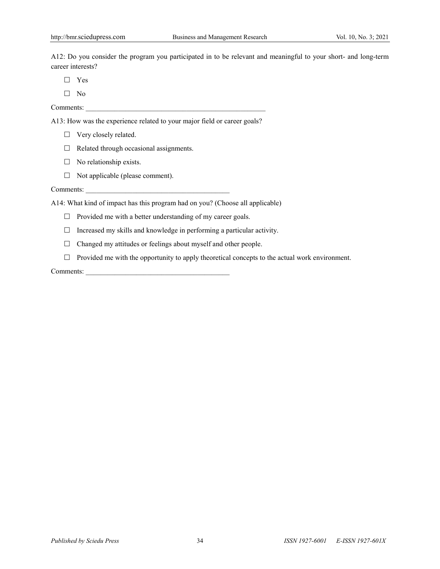A12: Do you consider the program you participated in to be relevant and meaningful to your short- and long-term career interests?

□ Yes

 $\Box$  No

Comments:

A13: How was the experience related to your major field or career goals?

- □ Very closely related.
- $\Box$  Related through occasional assignments.
- $\Box$  No relationship exists.
- $\Box$  Not applicable (please comment).

Comments:

A14: What kind of impact has this program had on you? (Choose all applicable)

 $\Box$  Provided me with a better understanding of my career goals.

 $\Box$  Increased my skills and knowledge in performing a particular activity.

- $\Box$  Changed my attitudes or feelings about myself and other people.
- $\Box$  Provided me with the opportunity to apply theoretical concepts to the actual work environment.

Comments: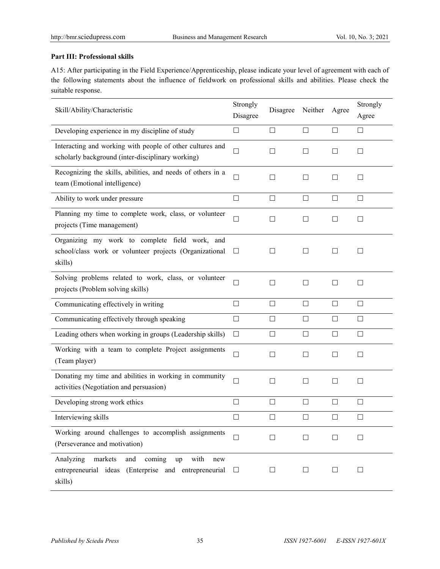## **Part III: Professional skills**

A15: After participating in the Field Experience/Apprenticeship, please indicate your level of agreement with each of the following statements about the influence of fieldwork on professional skills and abilities. Please check the suitable response.

| Skill/Ability/Characteristic                                                                                                          | Strongly<br>Disagree | Disagree | Neither           | Agree  | Strongly<br>Agree |
|---------------------------------------------------------------------------------------------------------------------------------------|----------------------|----------|-------------------|--------|-------------------|
| Developing experience in my discipline of study                                                                                       | □                    | □        | $\Box$            | □      | П                 |
| Interacting and working with people of other cultures and<br>scholarly background (inter-disciplinary working)                        | $\Box$               | П        | $\Box$            | П      | $\Box$            |
| Recognizing the skills, abilities, and needs of others in a<br>team (Emotional intelligence)                                          | $\Box$               | П        | $\mathsf{L}$      | $\Box$ | П                 |
| Ability to work under pressure                                                                                                        | □                    | □        | □                 | □      | П                 |
| Planning my time to complete work, class, or volunteer<br>projects (Time management)                                                  | $\Box$               | □        | $\vert \ \ \vert$ | $\Box$ | $\Box$            |
| Organizing my work to complete field work, and<br>school/class work or volunteer projects (Organizational<br>skills)                  | ப                    | $\Box$   | $\Box$            | $\Box$ | $\Box$            |
| Solving problems related to work, class, or volunteer<br>projects (Problem solving skills)                                            | П                    | П        | П                 | П      | П                 |
| Communicating effectively in writing                                                                                                  | $\Box$               | $\Box$   | $\Box$            | $\Box$ | $\Box$            |
| Communicating effectively through speaking                                                                                            | □                    | □        | П                 | П      | П                 |
| Leading others when working in groups (Leadership skills)                                                                             | $\Box$               | $\Box$   | $\Box$            | $\Box$ | $\Box$            |
| Working with a team to complete Project assignments<br>(Team player)                                                                  | $\Box$               | □        | $\Box$            | $\Box$ | $\Box$            |
| Donating my time and abilities in working in community<br>activities (Negotiation and persuasion)                                     | □                    | П        | П                 | $\Box$ | $\Box$            |
| Developing strong work ethics                                                                                                         | $\Box$               | $\Box$   | $\Box$            | $\Box$ | $\Box$            |
| Interviewing skills                                                                                                                   | $\Box$               | $\Box$   | $\Box$            | $\Box$ | $\Box$            |
| Working around challenges to accomplish assignments<br>(Perseverance and motivation)                                                  |                      | $\Box$   | П                 | Ш      | $\Box$            |
| markets<br>and<br>coming<br>with<br>Analyzing<br><b>up</b><br>new<br>entrepreneurial ideas (Enterprise and entrepreneurial<br>skills) | ⊔                    | $\perp$  | $\sqcup$          | ш      | $\perp$           |